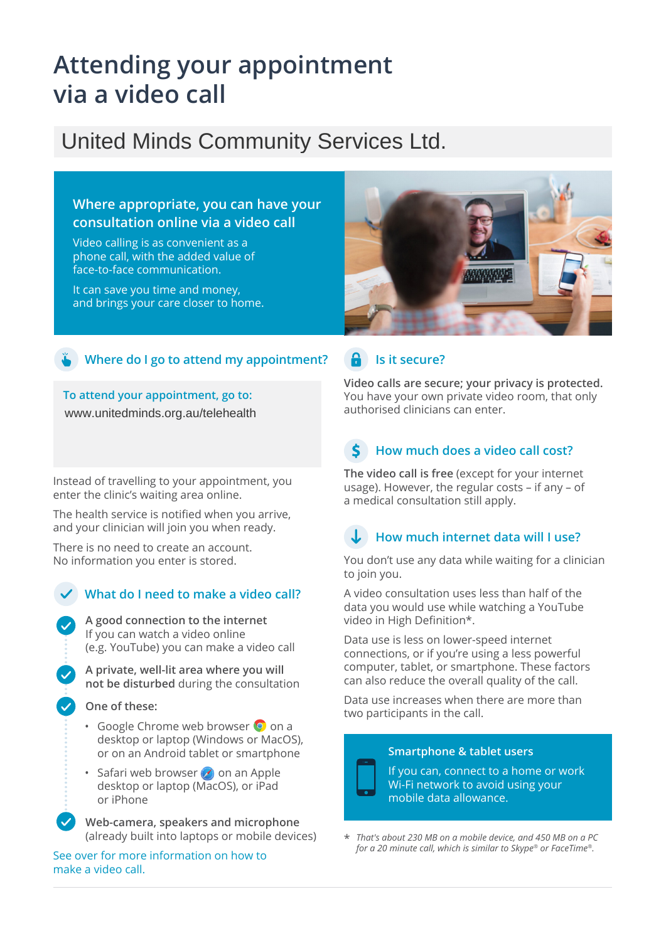# **Attending your appointment via a video call**

## United Minds Community Services Ltd.

#### **Where appropriate, you can have your consultation online via a video call**

Video calling is as convenient as a phone call, with the added value of face-to-face communication.

It can save you time and money, and brings your care closer to home.



#### **Where do I go to attend my appointment?**

**To attend your appointment, go to:** www.unitedminds.org.au/telehealth

Instead of travelling to your appointment, you enter the clinic's waiting area online.

The health service is notified when you arrive, and your clinician will join you when ready.

There is no need to create an account. No information you enter is stored.

#### **What do I need to make a video call?**

**A good connection to the internet** If you can watch a video online (e.g. YouTube) you can make a video call

**A private, well-lit area where you will not be disturbed** during the consultation

#### **One of these:**

- Google Chrome web browser O on a desktop or laptop (Windows or MacOS), or on an Android tablet or smartphone
- Safari web browser  $\bullet$  on an Apple desktop or laptop (MacOS), or iPad or iPhone

**Web-camera, speakers and microphone** (already built into laptops or mobile devices)

See over for more information on how to make a video call.

#### **Is it secure?**

**Video calls are secure; your privacy is protected.** You have your own private video room, that only authorised clinicians can enter.

## **How much does a video call cost?**

**The video call is free** (except for your internet usage). However, the regular costs – if any – of a medical consultation still apply.

### **How much internet data will I use?**

You don't use any data while waiting for a clinician to join you.

A video consultation uses less than half of the data you would use while watching a YouTube video in High Definition\*.

Data use is less on lower-speed internet connections, or if you're using a less powerful computer, tablet, or smartphone. These factors can also reduce the overall quality of the call.

Data use increases when there are more than two participants in the call.

#### **Smartphone & tablet users**



If you can, connect to a home or work Wi-Fi network to avoid using your mobile data allowance.

\* *That's about 230 MB on a mobile device, and 450 MB on a PC for a 20 minute call, which is similar to Skype® or FaceTime®.*